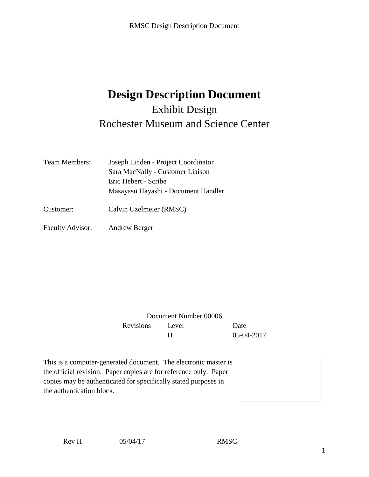# **Design Description Document** Exhibit Design Rochester Museum and Science Center

| <b>Team Members:</b>    | Joseph Linden - Project Coordinator |  |
|-------------------------|-------------------------------------|--|
|                         | Sara MacNally - Customer Liaison    |  |
|                         | Eric Hebert - Scribe                |  |
|                         | Masayasu Hayashi - Document Handler |  |
| Customer:               | Calvin Uzelmeier (RMSC)             |  |
| <b>Faculty Advisor:</b> | Andrew Berger                       |  |

Document Number 00006 Revisions Level Date H 05-04-2017

This is a computer-generated document. The electronic master is the official revision. Paper copies are for reference only. Paper copies may be authenticated for specifically stated purposes in the authentication block.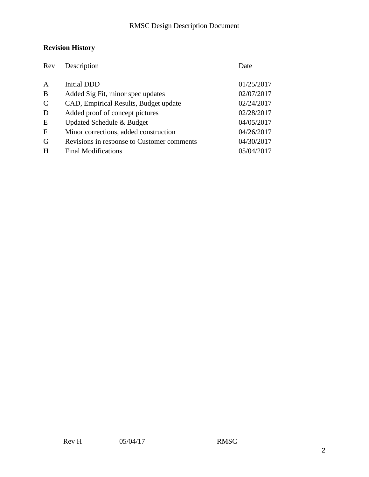## **Revision History**

| Rev            | Description                                | Date       |
|----------------|--------------------------------------------|------------|
| $\overline{A}$ | <b>Initial DDD</b>                         | 01/25/2017 |
| B              | Added Sig Fit, minor spec updates          | 02/07/2017 |
| $\mathcal{C}$  | CAD, Empirical Results, Budget update      | 02/24/2017 |
| D              | Added proof of concept pictures            | 02/28/2017 |
| E              | Updated Schedule & Budget                  | 04/05/2017 |
| $\mathbf F$    | Minor corrections, added construction      | 04/26/2017 |
| G              | Revisions in response to Customer comments | 04/30/2017 |
| H              | <b>Final Modifications</b>                 | 05/04/2017 |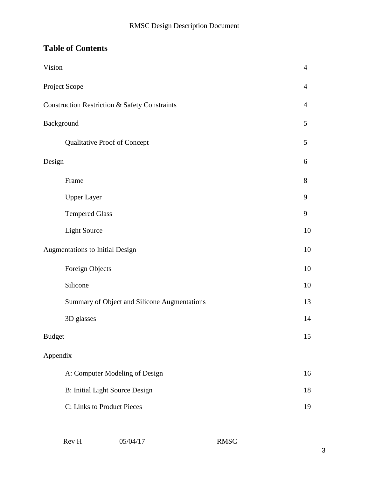## **Table of Contents**

| Vision        |                                                          | $\overline{4}$ |
|---------------|----------------------------------------------------------|----------------|
|               | Project Scope                                            | $\overline{4}$ |
|               | <b>Construction Restriction &amp; Safety Constraints</b> | $\overline{4}$ |
| Background    |                                                          | 5              |
|               | Qualitative Proof of Concept                             | 5              |
| Design        |                                                          | 6              |
|               | Frame                                                    | 8              |
|               | <b>Upper Layer</b>                                       | 9              |
|               | <b>Tempered Glass</b>                                    | 9              |
|               | <b>Light Source</b>                                      | 10             |
|               | Augmentations to Initial Design                          | 10             |
|               | Foreign Objects                                          | 10             |
|               | Silicone                                                 | 10             |
|               | Summary of Object and Silicone Augmentations             | 13             |
|               | 3D glasses                                               | 14             |
| <b>Budget</b> |                                                          | 15             |
| Appendix      |                                                          |                |
|               | A: Computer Modeling of Design                           | 16             |
|               | <b>B:</b> Initial Light Source Design                    | 18             |
|               | C: Links to Product Pieces                               | 19             |
|               |                                                          |                |

| Rev H | 05/04/17 | <b>RMSC</b> |
|-------|----------|-------------|
|       |          |             |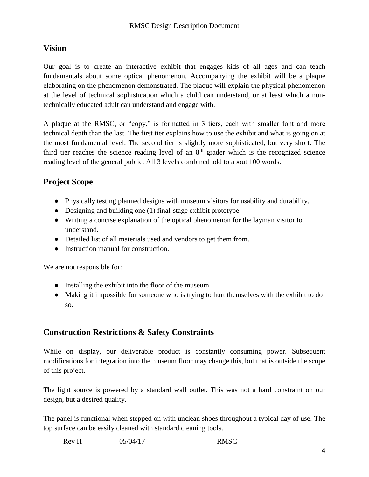### **Vision**

Our goal is to create an interactive exhibit that engages kids of all ages and can teach fundamentals about some optical phenomenon. Accompanying the exhibit will be a plaque elaborating on the phenomenon demonstrated. The plaque will explain the physical phenomenon at the level of technical sophistication which a child can understand, or at least which a nontechnically educated adult can understand and engage with.

A plaque at the RMSC, or "copy," is formatted in 3 tiers, each with smaller font and more technical depth than the last. The first tier explains how to use the exhibit and what is going on at the most fundamental level. The second tier is slightly more sophisticated, but very short. The third tier reaches the science reading level of an  $8<sup>th</sup>$  grader which is the recognized science reading level of the general public. All 3 levels combined add to about 100 words.

### **Project Scope**

- Physically testing planned designs with museum visitors for usability and durability.
- Designing and building one (1) final-stage exhibit prototype.
- Writing a concise explanation of the optical phenomenon for the layman visitor to understand.
- Detailed list of all materials used and vendors to get them from.
- Instruction manual for construction.

We are not responsible for:

- Installing the exhibit into the floor of the museum.
- Making it impossible for someone who is trying to hurt themselves with the exhibit to do so.

### **Construction Restrictions & Safety Constraints**

While on display, our deliverable product is constantly consuming power. Subsequent modifications for integration into the museum floor may change this, but that is outside the scope of this project.

The light source is powered by a standard wall outlet. This was not a hard constraint on our design, but a desired quality.

The panel is functional when stepped on with unclean shoes throughout a typical day of use. The top surface can be easily cleaned with standard cleaning tools.

```
Rev H 05/04/17 RMSC
```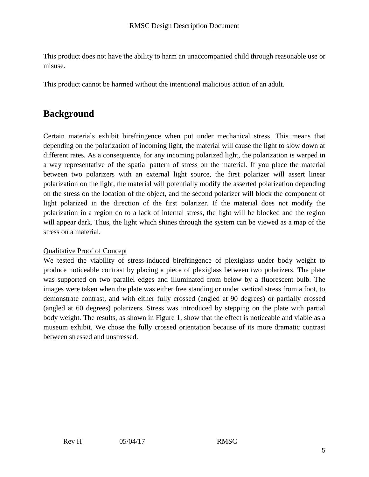This product does not have the ability to harm an unaccompanied child through reasonable use or misuse.

This product cannot be harmed without the intentional malicious action of an adult.

## **Background**

Certain materials exhibit birefringence when put under mechanical stress. This means that depending on the polarization of incoming light, the material will cause the light to slow down at different rates. As a consequence, for any incoming polarized light, the polarization is warped in a way representative of the spatial pattern of stress on the material. If you place the material between two polarizers with an external light source, the first polarizer will assert linear polarization on the light, the material will potentially modify the asserted polarization depending on the stress on the location of the object, and the second polarizer will block the component of light polarized in the direction of the first polarizer. If the material does not modify the polarization in a region do to a lack of internal stress, the light will be blocked and the region will appear dark. Thus, the light which shines through the system can be viewed as a map of the stress on a material.

### Qualitative Proof of Concept

We tested the viability of stress-induced birefringence of plexiglass under body weight to produce noticeable contrast by placing a piece of plexiglass between two polarizers. The plate was supported on two parallel edges and illuminated from below by a fluorescent bulb. The images were taken when the plate was either free standing or under vertical stress from a foot, to demonstrate contrast, and with either fully crossed (angled at 90 degrees) or partially crossed (angled at 60 degrees) polarizers. Stress was introduced by stepping on the plate with partial body weight. The results, as shown in Figure 1, show that the effect is noticeable and viable as a museum exhibit. We chose the fully crossed orientation because of its more dramatic contrast between stressed and unstressed.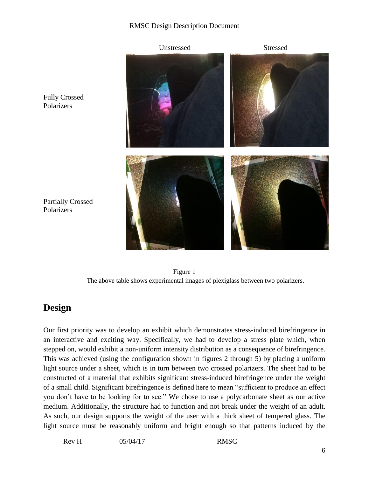### RMSC Design Description Document



Polarizers

Fully Crossed Polarizers

Figure 1 The above table shows experimental images of plexiglass between two polarizers.

## **Design**

Our first priority was to develop an exhibit which demonstrates stress-induced birefringence in an interactive and exciting way. Specifically, we had to develop a stress plate which, when stepped on, would exhibit a non-uniform intensity distribution as a consequence of birefringence. This was achieved (using the configuration shown in figures 2 through 5) by placing a uniform light source under a sheet, which is in turn between two crossed polarizers. The sheet had to be constructed of a material that exhibits significant stress-induced birefringence under the weight of a small child. Significant birefringence is defined here to mean "sufficient to produce an effect you don't have to be looking for to see." We chose to use a polycarbonate sheet as our active medium. Additionally, the structure had to function and not break under the weight of an adult. As such, our design supports the weight of the user with a thick sheet of tempered glass. The light source must be reasonably uniform and bright enough so that patterns induced by the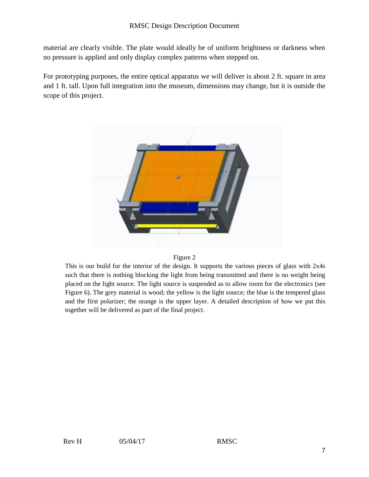material are clearly visible. The plate would ideally be of uniform brightness or darkness when no pressure is applied and only display complex patterns when stepped on.

For prototyping purposes, the entire optical apparatus we will deliver is about 2 ft. square in area and 1 ft. tall. Upon full integration into the museum, dimensions may change, but it is outside the scope of this project.





This is our build for the interior of the design. It supports the various pieces of glass with 2x4s such that there is nothing blocking the light from being transmitted and there is no weight being placed on the light source. The light source is suspended as to allow room for the electronics (see Figure 6). The grey material is wood; the yellow is the light source; the blue is the tempered glass and the first polarizer; the orange is the upper layer. A detailed description of how we put this together will be delivered as part of the final project.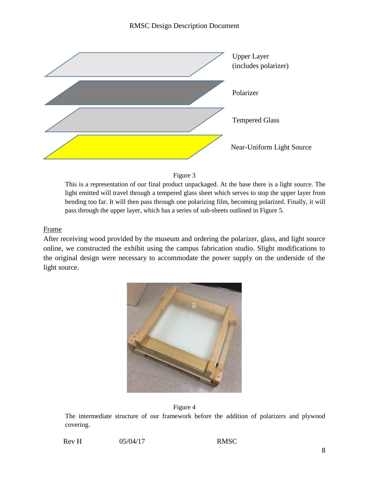



This is a representation of our final product unpackaged. At the base there is a light source. The light emitted will travel through a tempered glass sheet which serves to stop the upper layer from bending too far. It will then pass through one polarizing film, becoming polarized. Finally, it will pass through the upper layer, which has a series of sub-sheets outlined in Figure 5.

#### Frame

After receiving wood provided by the museum and ordering the polarizer, glass, and light source online, we constructed the exhibit using the campus fabrication studio. Slight modifications to the original design were necessary to accommodate the power supply on the underside of the light source.





The intermediate structure of our framework before the addition of polarizers and plywood covering.

| Rev H | 05/04/17 | <b>RMSC</b> |
|-------|----------|-------------|
|       |          |             |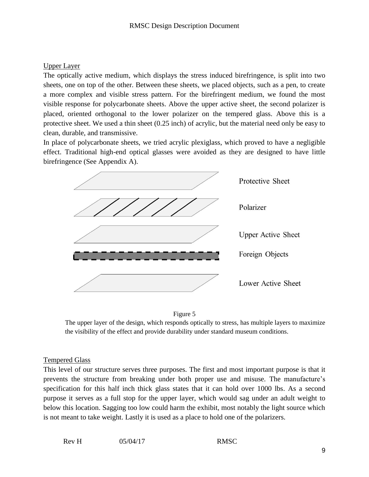### Upper Layer

The optically active medium, which displays the stress induced birefringence, is split into two sheets, one on top of the other. Between these sheets, we placed objects, such as a pen, to create a more complex and visible stress pattern. For the birefringent medium, we found the most visible response for polycarbonate sheets. Above the upper active sheet, the second polarizer is placed, oriented orthogonal to the lower polarizer on the tempered glass. Above this is a protective sheet. We used a thin sheet (0.25 inch) of acrylic, but the material need only be easy to clean, durable, and transmissive.

In place of polycarbonate sheets, we tried acrylic plexiglass, which proved to have a negligible effect. Traditional high-end optical glasses were avoided as they are designed to have little birefringence (See Appendix A).





The upper layer of the design, which responds optically to stress, has multiple layers to maximize the visibility of the effect and provide durability under standard museum conditions.

#### Tempered Glass

This level of our structure serves three purposes. The first and most important purpose is that it prevents the structure from breaking under both proper use and misuse. The manufacture's specification for this half inch thick glass states that it can hold over 1000 lbs. As a second purpose it serves as a full stop for the upper layer, which would sag under an adult weight to below this location. Sagging too low could harm the exhibit, most notably the light source which is not meant to take weight. Lastly it is used as a place to hold one of the polarizers.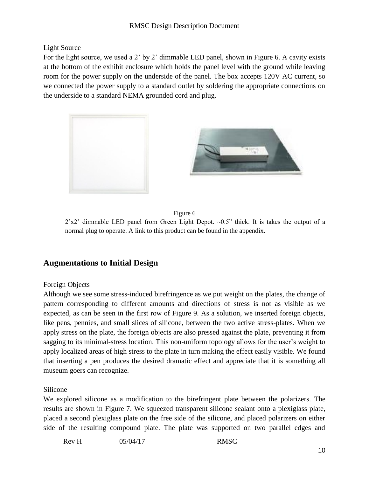### Light Source

For the light source, we used a 2' by 2' dimmable LED panel, shown in Figure 6. A cavity exists at the bottom of the exhibit enclosure which holds the panel level with the ground while leaving room for the power supply on the underside of the panel. The box accepts 120V AC current, so we connected the power supply to a standard outlet by soldering the appropriate connections on the underside to a standard NEMA grounded cord and plug.



### Figure 6

2'x2' dimmable LED panel from Green Light Depot. ~0.5" thick. It is takes the output of a normal plug to operate. A link to this product can be found in the appendix.

### **Augmentations to Initial Design**

### Foreign Objects

Although we see some stress-induced birefringence as we put weight on the plates, the change of pattern corresponding to different amounts and directions of stress is not as visible as we expected, as can be seen in the first row of Figure 9. As a solution, we inserted foreign objects, like pens, pennies, and small slices of silicone, between the two active stress-plates. When we apply stress on the plate, the foreign objects are also pressed against the plate, preventing it from sagging to its minimal-stress location. This non-uniform topology allows for the user's weight to apply localized areas of high stress to the plate in turn making the effect easily visible. We found that inserting a pen produces the desired dramatic effect and appreciate that it is something all museum goers can recognize.

### Silicone

We explored silicone as a modification to the birefringent plate between the polarizers. The results are shown in Figure 7. We squeezed transparent silicone sealant onto a plexiglass plate, placed a second plexiglass plate on the free side of the silicone, and placed polarizers on either side of the resulting compound plate. The plate was supported on two parallel edges and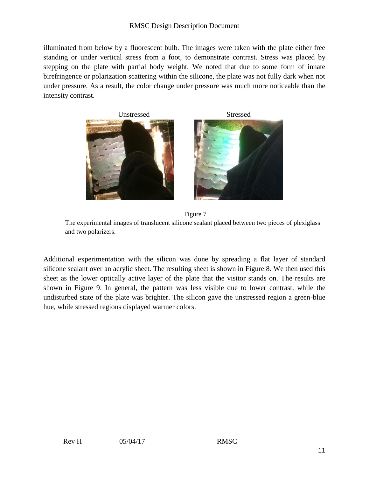#### RMSC Design Description Document

illuminated from below by a fluorescent bulb. The images were taken with the plate either free standing or under vertical stress from a foot, to demonstrate contrast. Stress was placed by stepping on the plate with partial body weight. We noted that due to some form of innate birefringence or polarization scattering within the silicone, the plate was not fully dark when not under pressure. As a result, the color change under pressure was much more noticeable than the intensity contrast.



Figure 7

The experimental images of translucent silicone sealant placed between two pieces of plexiglass and two polarizers.

Additional experimentation with the silicon was done by spreading a flat layer of standard silicone sealant over an acrylic sheet. The resulting sheet is shown in Figure 8. We then used this sheet as the lower optically active layer of the plate that the visitor stands on. The results are shown in Figure 9. In general, the pattern was less visible due to lower contrast, while the undisturbed state of the plate was brighter. The silicon gave the unstressed region a green-blue hue, while stressed regions displayed warmer colors.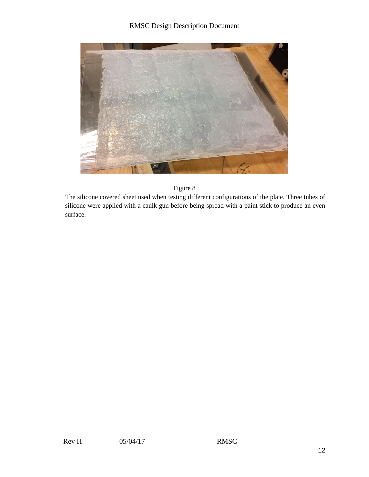

#### Figure 8

The silicone covered sheet used when testing different configurations of the plate. Three tubes of silicone were applied with a caulk gun before being spread with a paint stick to produce an even surface.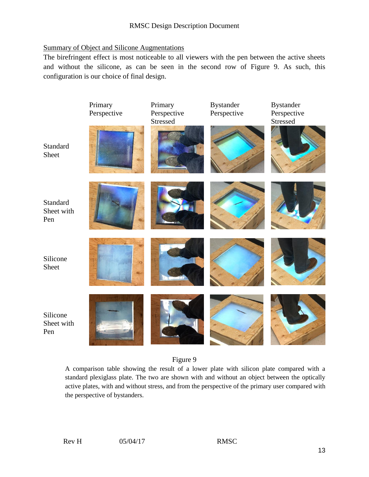### Summary of Object and Silicone Augmentations

The birefringent effect is most noticeable to all viewers with the pen between the active sheets and without the silicone, as can be seen in the second row of Figure 9. As such, this configuration is our choice of final design.



### Figure 9

A comparison table showing the result of a lower plate with silicon plate compared with a standard plexiglass plate. The two are shown with and without an object between the optically active plates, with and without stress, and from the perspective of the primary user compared with the perspective of bystanders.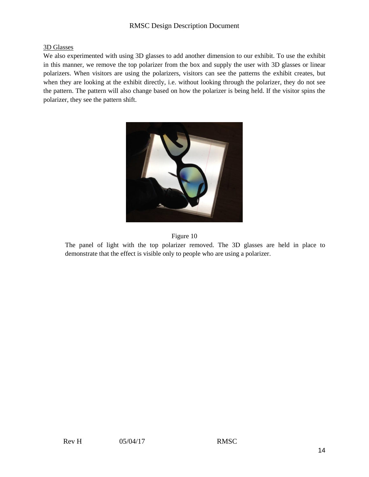### RMSC Design Description Document

#### 3D Glasses

We also experimented with using 3D glasses to add another dimension to our exhibit. To use the exhibit in this manner, we remove the top polarizer from the box and supply the user with 3D glasses or linear polarizers. When visitors are using the polarizers, visitors can see the patterns the exhibit creates, but when they are looking at the exhibit directly, i.e. without looking through the polarizer, they do not see the pattern. The pattern will also change based on how the polarizer is being held. If the visitor spins the polarizer, they see the pattern shift.





The panel of light with the top polarizer removed. The 3D glasses are held in place to demonstrate that the effect is visible only to people who are using a polarizer.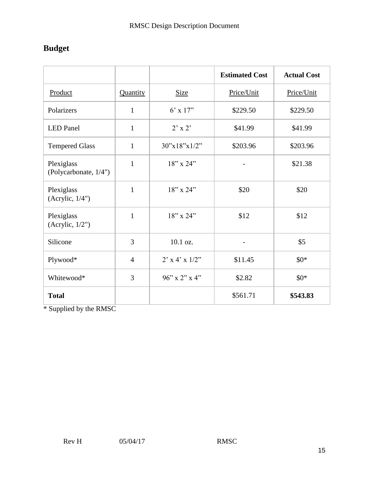## **Budget**

|                                     |                |                  | <b>Estimated Cost</b> | <b>Actual Cost</b> |
|-------------------------------------|----------------|------------------|-----------------------|--------------------|
| Product                             | Quantity       | <b>Size</b>      | Price/Unit            | Price/Unit         |
| Polarizers                          | $\mathbf{1}$   | $6'$ x 17"       | \$229.50              | \$229.50           |
| <b>LED</b> Panel                    | $\mathbf{1}$   | $2' \times 2'$   | \$41.99               | \$41.99            |
| <b>Tempered Glass</b>               | $\mathbf{1}$   | 30''x18''x1/2"   | \$203.96              | \$203.96           |
| Plexiglass<br>(Polycarbonate, 1/4") | $\mathbf{1}$   | $18"$ x $24"$    |                       | \$21.38            |
| Plexiglass<br>(Acrylic, $1/4$ ")    | $\mathbf{1}$   | $18"$ x 24"      | \$20                  | \$20               |
| Plexiglass<br>(Acrylic, $1/2$ ")    | $\mathbf{1}$   | $18"$ x $24"$    | \$12                  | \$12               |
| Silicone                            | 3              | $10.1$ oz.       |                       | \$5                |
| Plywood*                            | $\overline{4}$ | $2'$ x 4' x 1/2" | \$11.45               | $$0*$              |
| Whitewood*                          | 3              | $96''$ x 2" x 4" | \$2.82                | $$0*$              |
| <b>Total</b>                        |                |                  | \$561.71              | \$543.83           |

\* Supplied by the RMSC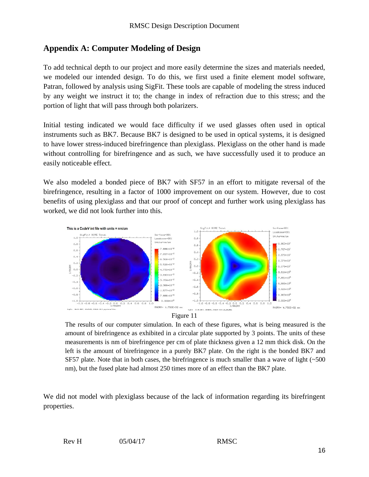### **Appendix A: Computer Modeling of Design**

To add technical depth to our project and more easily determine the sizes and materials needed, we modeled our intended design. To do this, we first used a finite element model software, Patran, followed by analysis using SigFit. These tools are capable of modeling the stress induced by any weight we instruct it to; the change in index of refraction due to this stress; and the portion of light that will pass through both polarizers.

Initial testing indicated we would face difficulty if we used glasses often used in optical instruments such as BK7. Because BK7 is designed to be used in optical systems, it is designed to have lower stress-induced birefringence than plexiglass. Plexiglass on the other hand is made without controlling for birefringence and as such, we have successfully used it to produce an easily noticeable effect.

We also modeled a bonded piece of BK7 with SF57 in an effort to mitigate reversal of the birefringence, resulting in a factor of 1000 improvement on our system. However, due to cost benefits of using plexiglass and that our proof of concept and further work using plexiglass has worked, we did not look further into this.





The results of our computer simulation. In each of these figures, what is being measured is the amount of birefringence as exhibited in a circular plate supported by 3 points. The units of these measurements is nm of birefringence per cm of plate thickness given a 12 mm thick disk. On the left is the amount of birefringence in a purely BK7 plate. On the right is the bonded BK7 and SF57 plate. Note that in both cases, the birefringence is much smaller than a wave of light (~500) nm), but the fused plate had almost 250 times more of an effect than the BK7 plate.

We did not model with plexiglass because of the lack of information regarding its birefringent properties.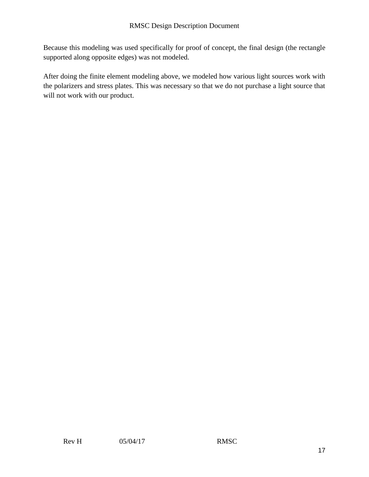Because this modeling was used specifically for proof of concept, the final design (the rectangle supported along opposite edges) was not modeled.

After doing the finite element modeling above, we modeled how various light sources work with the polarizers and stress plates. This was necessary so that we do not purchase a light source that will not work with our product.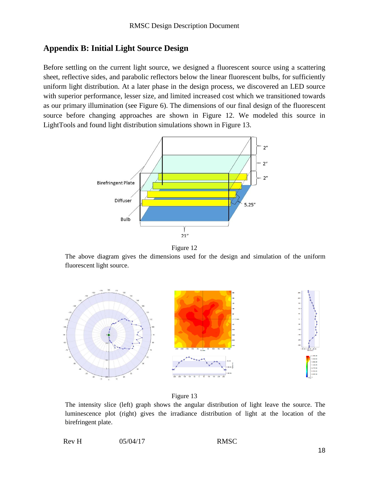### **Appendix B: Initial Light Source Design**

Before settling on the current light source, we designed a fluorescent source using a scattering sheet, reflective sides, and parabolic reflectors below the linear fluorescent bulbs, for sufficiently uniform light distribution. At a later phase in the design process, we discovered an LED source with superior performance, lesser size, and limited increased cost which we transitioned towards as our primary illumination (see Figure 6). The dimensions of our final design of the fluorescent source before changing approaches are shown in Figure 12. We modeled this source in LightTools and found light distribution simulations shown in Figure 13.



Figure 12

The above diagram gives the dimensions used for the design and simulation of the uniform fluorescent light source.





The intensity slice (left) graph shows the angular distribution of light leave the source. The luminescence plot (right) gives the irradiance distribution of light at the location of the birefringent plate.